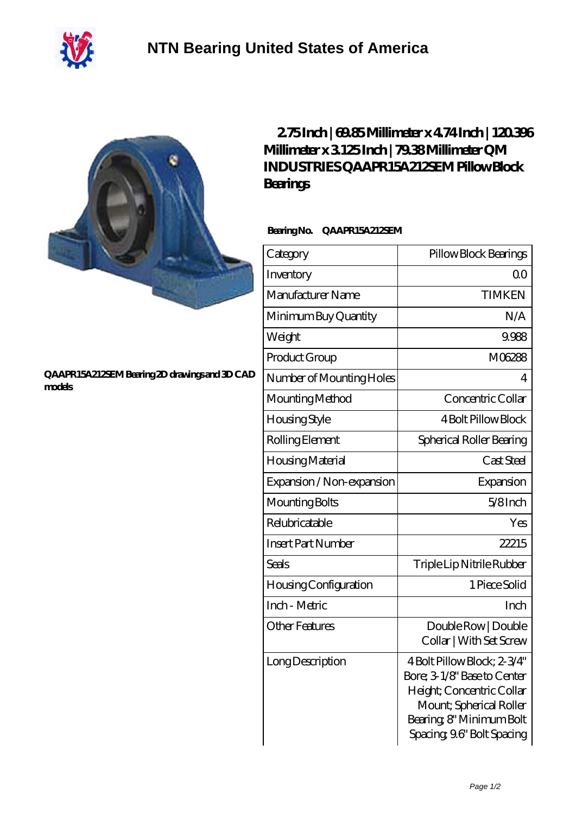



## **[QAAPR15A212SEM Bearing 2D drawings and 3D CAD](https://m.40ozbounce-tube.net/pic-266491.html) [models](https://m.40ozbounce-tube.net/pic-266491.html)**

## **[2.75 Inch | 69.85 Millimeter x 4.74 Inch | 120.396](https://m.40ozbounce-tube.net/bj-266491-qm-industries-qaapr15a212sem-pillow-block-bearings.html) [Millimeter x 3.125 Inch | 79.38 Millimeter QM](https://m.40ozbounce-tube.net/bj-266491-qm-industries-qaapr15a212sem-pillow-block-bearings.html) [INDUSTRIES QAAPR15A212SEM Pillow Block](https://m.40ozbounce-tube.net/bj-266491-qm-industries-qaapr15a212sem-pillow-block-bearings.html) [Bearings](https://m.40ozbounce-tube.net/bj-266491-qm-industries-qaapr15a212sem-pillow-block-bearings.html)**

## **Bearing No. QAAPR15A212SEM**

| Category                     | Pillow Block Bearings                                                                                                                                                       |
|------------------------------|-----------------------------------------------------------------------------------------------------------------------------------------------------------------------------|
| Inventory                    | 0 <sub>0</sub>                                                                                                                                                              |
| Manufacturer Name            | <b>TIMKEN</b>                                                                                                                                                               |
| Minimum Buy Quantity         | N/A                                                                                                                                                                         |
| Weight                       | 9.988                                                                                                                                                                       |
| Product Group                | M06288                                                                                                                                                                      |
| Number of Mounting Holes     | 4                                                                                                                                                                           |
| Mounting Method              | Concentric Collar                                                                                                                                                           |
| <b>Housing Style</b>         | <b>4 Bolt Pillow Block</b>                                                                                                                                                  |
| Rolling Element              | Spherical Roller Bearing                                                                                                                                                    |
| Housing Material             | Cast Steel                                                                                                                                                                  |
| Expansion / Non-expansion    | Expansion                                                                                                                                                                   |
| Mounting Bolts               | $5/8$ Inch                                                                                                                                                                  |
| Relubricatable               | Yes                                                                                                                                                                         |
| Insert Part Number           | 22215                                                                                                                                                                       |
| Seals                        | Triple Lip Nitrile Rubber                                                                                                                                                   |
| <b>Housing Configuration</b> | 1 Piece Solid                                                                                                                                                               |
| Inch - Metric                | Inch                                                                                                                                                                        |
| <b>Other Features</b>        | Double Row   Double<br>Collar   With Set Screw                                                                                                                              |
| Long Description             | 4 Bolt Pillow Block; 2-3/4"<br>Bore; 3-1/8" Base to Center<br>Height; Concentric Collar<br>Mount; Spherical Roller<br>Bearing, 8" Minimum Bolt<br>Spacing 9.6" Bolt Spacing |